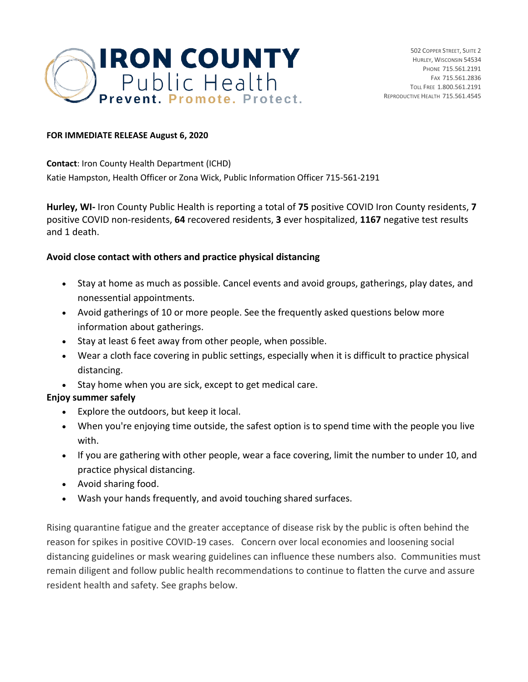

## **FOR IMMEDIATE RELEASE August 6, 2020**

**Contact**: Iron County Health Department (ICHD) Katie Hampston, Health Officer or Zona Wick, Public Information Officer 715-561-2191

**Hurley, WI-** Iron County Public Health is reporting a total of **75** positive COVID Iron County residents, **7** positive COVID non-residents, **64** recovered residents, **3** ever hospitalized, **1167** negative test results and 1 death.

## **Avoid close contact with others and practice physical distancing**

- Stay at home as much as possible. Cancel events and avoid groups, gatherings, play dates, and nonessential appointments.
- Avoid gatherings of 10 or more people. See the frequently asked questions below more information about gatherings.
- Stay at least 6 feet away from other people, when possible.
- Wear a cloth face covering in public settings, especially when it is difficult to practice physical distancing.
- Stay home when you are sick, except to get medical care.

## **Enjoy summer safely**

- Explore the outdoors, but keep it local.
- When you're enjoying time outside, the safest option is to spend time with the people you live with.
- If you are gathering with other people, wear a face covering, limit the number to under 10, and practice physical distancing.
- Avoid sharing food.
- Wash your hands frequently, and avoid touching shared surfaces.

Rising quarantine fatigue and the greater acceptance of disease risk by the public is often behind the reason for spikes in positive COVID-19 cases. Concern over local economies and loosening social distancing guidelines or mask wearing guidelines can influence these numbers also. Communities must remain diligent and follow public health recommendations to continue to flatten the curve and assure resident health and safety. See graphs below.